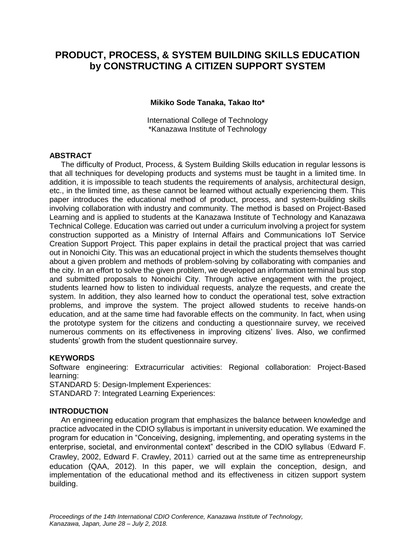# **PRODUCT, PROCESS, & SYSTEM BUILDING SKILLS EDUCATION by CONSTRUCTING A CITIZEN SUPPORT SYSTEM**

**Mikiko Sode Tanaka, Takao Ito\***

International College of Technology \*Kanazawa Institute of Technology

## **ABSTRACT**

The difficulty of Product, Process, & System Building Skills education in regular lessons is that all techniques for developing products and systems must be taught in a limited time. In addition, it is impossible to teach students the requirements of analysis, architectural design, etc., in the limited time, as these cannot be learned without actually experiencing them. This paper introduces the educational method of product, process, and system-building skills involving collaboration with industry and community. The method is based on Project-Based Learning and is applied to students at the Kanazawa Institute of Technology and Kanazawa Technical College. Education was carried out under a curriculum involving a project for system construction supported as a Ministry of Internal Affairs and Communications IoT Service Creation Support Project. This paper explains in detail the practical project that was carried out in Nonoichi City. This was an educational project in which the students themselves thought about a given problem and methods of problem-solving by collaborating with companies and the city. In an effort to solve the given problem, we developed an information terminal bus stop and submitted proposals to Nonoichi City. Through active engagement with the project, students learned how to listen to individual requests, analyze the requests, and create the system. In addition, they also learned how to conduct the operational test, solve extraction problems, and improve the system. The project allowed students to receive hands-on education, and at the same time had favorable effects on the community. In fact, when using the prototype system for the citizens and conducting a questionnaire survey, we received numerous comments on its effectiveness in improving citizens' lives. Also, we confirmed students' growth from the student questionnaire survey.

#### **KEYWORDS**

Software engineering: Extracurricular activities: Regional collaboration: Project-Based learning:

STANDARD 5: Design-Implement Experiences:

STANDARD 7: Integrated Learning Experiences:

#### **INTRODUCTION**

An engineering education program that emphasizes the balance between knowledge and practice advocated in the CDIO syllabus is important in university education. We examined the program for education in "Conceiving, designing, implementing, and operating systems in the enterprise, societal, and environmental context" described in the CDIO syllabus (Edward F. Crawley, 2002, Edward F. Crawley, 2011) carried out at the same time as entrepreneurship education (QAA, 2012). In this paper, we will explain the conception, design, and implementation of the educational method and its effectiveness in citizen support system building.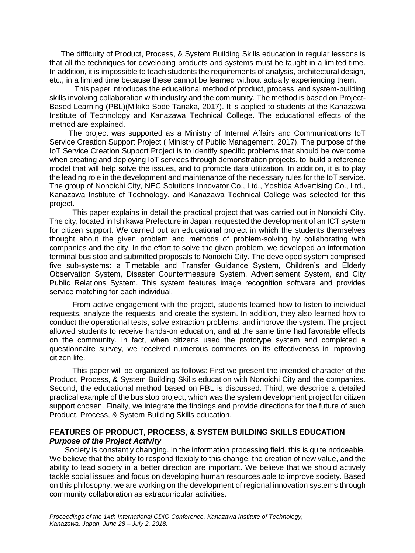The difficulty of Product, Process, & System Building Skills education in regular lessons is that all the techniques for developing products and systems must be taught in a limited time. In addition, it is impossible to teach students the requirements of analysis, architectural design, etc., in a limited time because these cannot be learned without actually experiencing them.

This paper introduces the educational method of product, process, and system-building skills involving collaboration with industry and the community. The method is based on Project-Based Learning (PBL)(Mikiko Sode Tanaka, 2017). It is applied to students at the Kanazawa Institute of Technology and Kanazawa Technical College. The educational effects of the method are explained.

The project was supported as a Ministry of Internal Affairs and Communications IoT Service Creation Support Project ( Ministry of Public Management, 2017). The purpose of the IoT Service Creation Support Project is to identify specific problems that should be overcome when creating and deploying IoT services through demonstration projects, to build a reference model that will help solve the issues, and to promote data utilization. In addition, it is to play the leading role in the development and maintenance of the necessary rules for the IoT service. The group of Nonoichi City, NEC Solutions Innovator Co., Ltd., Yoshida Advertising Co., Ltd., Kanazawa Institute of Technology, and Kanazawa Technical College was selected for this project.

This paper explains in detail the practical project that was carried out in Nonoichi City. The city, located in Ishikawa Prefecture in Japan, requested the development of an ICT system for citizen support. We carried out an educational project in which the students themselves thought about the given problem and methods of problem-solving by collaborating with companies and the city. In the effort to solve the given problem, we developed an information terminal bus stop and submitted proposals to Nonoichi City. The developed system comprised five sub-systems: a Timetable and Transfer Guidance System, Children's and Elderly Observation System, Disaster Countermeasure System, Advertisement System, and City Public Relations System. This system features image recognition software and provides service matching for each individual.

From active engagement with the project, students learned how to listen to individual requests, analyze the requests, and create the system. In addition, they also learned how to conduct the operational tests, solve extraction problems, and improve the system. The project allowed students to receive hands-on education, and at the same time had favorable effects on the community. In fact, when citizens used the prototype system and completed a questionnaire survey, we received numerous comments on its effectiveness in improving citizen life.

This paper will be organized as follows: First we present the intended character of the Product, Process, & System Building Skills education with Nonoichi City and the companies. Second, the educational method based on PBL is discussed. Third, we describe a detailed practical example of the bus stop project, which was the system development project for citizen support chosen. Finally, we integrate the findings and provide directions for the future of such Product, Process, & System Building Skills education.

# **FEATURES OF PRODUCT, PROCESS, & SYSTEM BUILDING SKILLS EDUCATION** *Purpose of the Project Activity*

Society is constantly changing. In the information processing field, this is quite noticeable. We believe that the ability to respond flexibly to this change, the creation of new value, and the ability to lead society in a better direction are important. We believe that we should actively tackle social issues and focus on developing human resources able to improve society. Based on this philosophy, we are working on the development of regional innovation systems through community collaboration as extracurricular activities.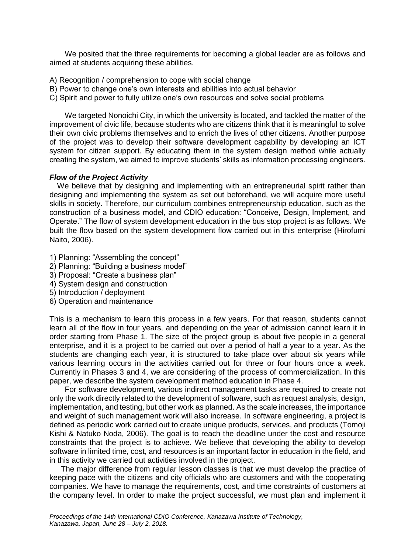We posited that the three requirements for becoming a global leader are as follows and aimed at students acquiring these abilities.

- A) Recognition / comprehension to cope with social change
- B) Power to change one's own interests and abilities into actual behavior
- C) Spirit and power to fully utilize one's own resources and solve social problems

We targeted Nonoichi City, in which the university is located, and tackled the matter of the improvement of civic life, because students who are citizens think that it is meaningful to solve their own civic problems themselves and to enrich the lives of other citizens. Another purpose of the project was to develop their software development capability by developing an ICT system for citizen support. By educating them in the system design method while actually creating the system, we aimed to improve students' skills as information processing engineers.

## *Flow of the Project Activity*

We believe that by designing and implementing with an entrepreneurial spirit rather than designing and implementing the system as set out beforehand, we will acquire more useful skills in society. Therefore, our curriculum combines entrepreneurship education, such as the construction of a business model, and CDIO education: "Conceive, Design, Implement, and Operate." The flow of system development education in the bus stop project is as follows. We built the flow based on the system development flow carried out in this enterprise (Hirofumi Naito, 2006).

- 1) Planning: "Assembling the concept"
- 2) Planning: "Building a business model"
- 3) Proposal: "Create a business plan"
- 4) System design and construction
- 5) Introduction / deployment
- 6) Operation and maintenance

This is a mechanism to learn this process in a few years. For that reason, students cannot learn all of the flow in four years, and depending on the year of admission cannot learn it in order starting from Phase 1. The size of the project group is about five people in a general enterprise, and it is a project to be carried out over a period of half a year to a year. As the students are changing each year, it is structured to take place over about six years while various learning occurs in the activities carried out for three or four hours once a week. Currently in Phases 3 and 4, we are considering of the process of commercialization. In this paper, we describe the system development method education in Phase 4.

For software development, various indirect management tasks are required to create not only the work directly related to the development of software, such as request analysis, design, implementation, and testing, but other work as planned. As the scale increases, the importance and weight of such management work will also increase. In software engineering, a project is defined as periodic work carried out to create unique products, services, and products (Tomoji Kishi & Natuko Noda, 2006). The goal is to reach the deadline under the cost and resource constraints that the project is to achieve. We believe that developing the ability to develop software in limited time, cost, and resources is an important factor in education in the field, and in this activity we carried out activities involved in the project.

The major difference from regular lesson classes is that we must develop the practice of keeping pace with the citizens and city officials who are customers and with the cooperating companies. We have to manage the requirements, cost, and time constraints of customers at the company level. In order to make the project successful, we must plan and implement it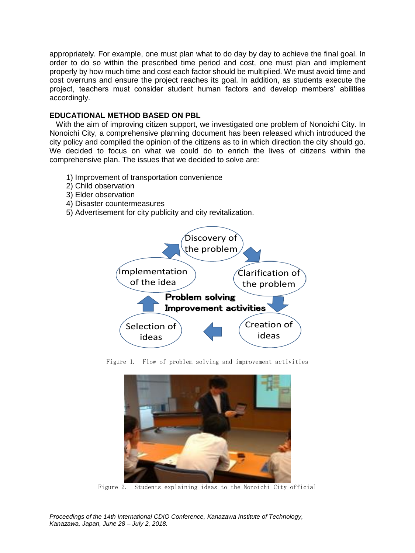appropriately. For example, one must plan what to do day by day to achieve the final goal. In order to do so within the prescribed time period and cost, one must plan and implement properly by how much time and cost each factor should be multiplied. We must avoid time and cost overruns and ensure the project reaches its goal. In addition, as students execute the project, teachers must consider student human factors and develop members' abilities accordingly.

## **EDUCATIONAL METHOD BASED ON PBL**

 With the aim of improving citizen support, we investigated one problem of Nonoichi City. In Nonoichi City, a comprehensive planning document has been released which introduced the city policy and compiled the opinion of the citizens as to in which direction the city should go. We decided to focus on what we could do to enrich the lives of citizens within the comprehensive plan. The issues that we decided to solve are:

- 1) Improvement of transportation convenience
- 2) Child observation
- 3) Elder observation
- 4) Disaster countermeasures
- 5) Advertisement for city publicity and city revitalization.



Figure 1. Flow of problem solving and improvement activities



Figure 2. Students explaining ideas to the Nonoichi City official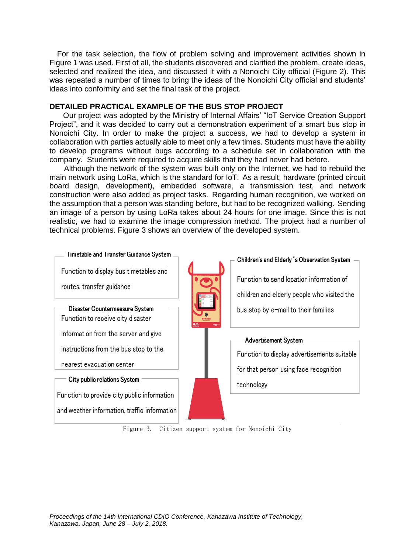For the task selection, the flow of problem solving and improvement activities shown in Figure 1 was used. First of all, the students discovered and clarified the problem, create ideas, selected and realized the idea, and discussed it with a Nonoichi City official (Figure 2). This was repeated a number of times to bring the ideas of the Nonoichi City official and students' ideas into conformity and set the final task of the project.

## **DETAILED PRACTICAL EXAMPLE OF THE BUS STOP PROJECT**

 Our project was adopted by the Ministry of Internal Affairs' "IoT Service Creation Support Project", and it was decided to carry out a demonstration experiment of a smart bus stop in Nonoichi City. In order to make the project a success, we had to develop a system in collaboration with parties actually able to meet only a few times. Students must have the ability to develop programs without bugs according to a schedule set in collaboration with the company. Students were required to acquire skills that they had never had before.

 Although the network of the system was built only on the Internet, we had to rebuild the main network using LoRa, which is the standard for IoT. As a result, hardware (printed circuit board design, development), embedded software, a transmission test, and network construction were also added as project tasks. Regarding human recognition, we worked on the assumption that a person was standing before, but had to be recognized walking. Sending an image of a person by using LoRa takes about 24 hours for one image. Since this is not realistic, we had to examine the image compression method. The project had a number of technical problems. Figure 3 shows an overview of the developed system.



Figure 3. Citizen support system for Nonoichi City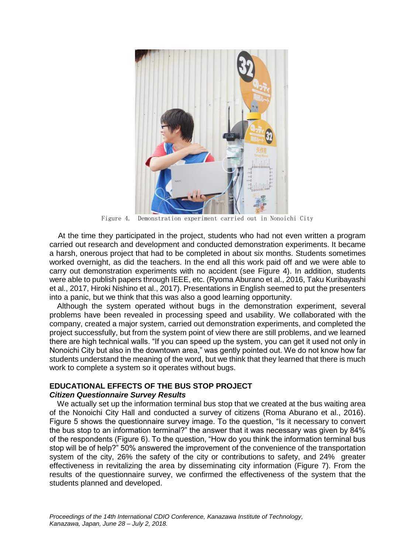

Figure 4. Demonstration experiment carried out in Nonoichi City

 At the time they participated in the project, students who had not even written a program carried out research and development and conducted demonstration experiments. It became a harsh, onerous project that had to be completed in about six months. Students sometimes worked overnight, as did the teachers. In the end all this work paid off and we were able to carry out demonstration experiments with no accident (see Figure 4). In addition, students were able to publish papers through IEEE, etc. (Ryoma Aburano et al., 2016, Taku Kuribayashi et al., 2017, Hiroki Nishino et al., 2017). Presentations in English seemed to put the presenters into a panic, but we think that this was also a good learning opportunity.

Although the system operated without bugs in the demonstration experiment, several problems have been revealed in processing speed and usability. We collaborated with the company, created a major system, carried out demonstration experiments, and completed the project successfully, but from the system point of view there are still problems, and we learned there are high technical walls. "If you can speed up the system, you can get it used not only in Nonoichi City but also in the downtown area," was gently pointed out. We do not know how far students understand the meaning of the word, but we think that they learned that there is much work to complete a system so it operates without bugs.

#### **EDUCATIONAL EFFECTS OF THE BUS STOP PROJECT**

#### *Citizen Questionnaire Survey Results*

We actually set up the information terminal bus stop that we created at the bus waiting area of the Nonoichi City Hall and conducted a survey of citizens (Roma Aburano et al., 2016). Figure 5 shows the questionnaire survey image. To the question, "Is it necessary to convert the bus stop to an information terminal?" the answer that it was necessary was given by 84% of the respondents (Figure 6). To the question, "How do you think the information terminal bus stop will be of help?" 50% answered the improvement of the convenience of the transportation system of the city, 26% the safety of the city or contributions to safety, and 24% greater effectiveness in revitalizing the area by disseminating city information (Figure 7). From the results of the questionnaire survey, we confirmed the effectiveness of the system that the students planned and developed.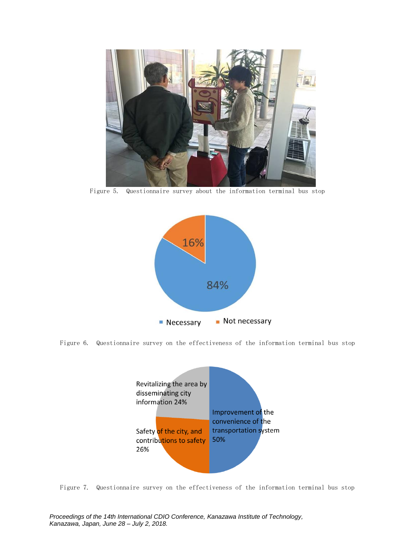

Figure 5. Questionnaire survey about the information terminal bus stop



Figure 6. Questionnaire survey on the effectiveness of the information terminal bus stop



Figure 7. Questionnaire survey on the effectiveness of the information terminal bus stop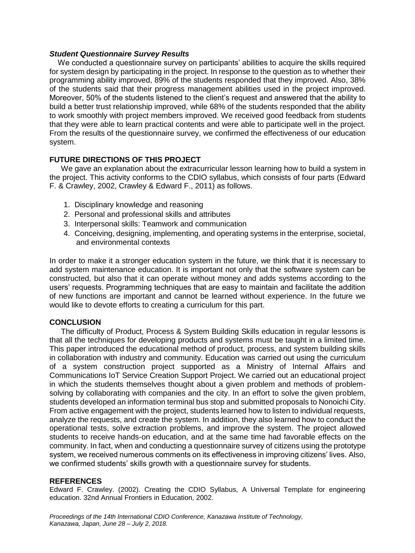## *Student Questionnaire Survey Results*

We conducted a questionnaire survey on participants' abilities to acquire the skills required for system design by participating in the project. In response to the question as to whether their programming ability improved, 89% of the students responded that they improved. Also, 38% of the students said that their progress management abilities used in the project improved. Moreover, 50% of the students listened to the client's request and answered that the ability to build a better trust relationship improved, while 68% of the students responded that the ability to work smoothly with project members improved. We received good feedback from students that they were able to learn practical contents and were able to participate well in the project. From the results of the questionnaire survey, we confirmed the effectiveness of our education system.

# **FUTURE DIRECTIONS OF THIS PROJECT**

We gave an explanation about the extracurricular lesson learning how to build a system in the project. This activity conforms to the CDIO syllabus, which consists of four parts (Edward F. & Crawley, 2002, Crawley & Edward F., 2011) as follows.

- 1. Disciplinary knowledge and reasoning
- 2. Personal and professional skills and attributes
- 3. Interpersonal skills: Teamwork and communication
- 4. Conceiving, designing, implementing, and operating systems in the enterprise, societal, and environmental contexts

In order to make it a stronger education system in the future, we think that it is necessary to add system maintenance education. It is important not only that the software system can be constructed, but also that it can operate without money and adds systems according to the users' requests. Programming techniques that are easy to maintain and facilitate the addition of new functions are important and cannot be learned without experience. In the future we would like to devote efforts to creating a curriculum for this part.

# **CONCLUSION**

The difficulty of Product, Process & System Building Skills education in regular lessons is that all the techniques for developing products and systems must be taught in a limited time. This paper introduced the educational method of product, process, and system building skills in collaboration with industry and community. Education was carried out using the curriculum of a system construction project supported as a Ministry of Internal Affairs and Communications IoT Service Creation Support Project. We carried out an educational project in which the students themselves thought about a given problem and methods of problemsolving by collaborating with companies and the city. In an effort to solve the given problem, students developed an information terminal bus stop and submitted proposals to Nonoichi City. From active engagement with the project, students learned how to listen to individual requests, analyze the requests, and create the system. In addition, they also learned how to conduct the operational tests, solve extraction problems, and improve the system. The project allowed students to receive hands-on education, and at the same time had favorable effects on the community. In fact, when and conducting a questionnaire survey of citizens using the prototype system, we received numerous comments on its effectiveness in improving citizens' lives. Also, we confirmed students' skills growth with a questionnaire survey for students.

#### **REFERENCES**

Edward F. Crawley. (2002). Creating the CDIO Syllabus, A Universal Template for engineering education. 32nd Annual Frontiers in Education, 2002.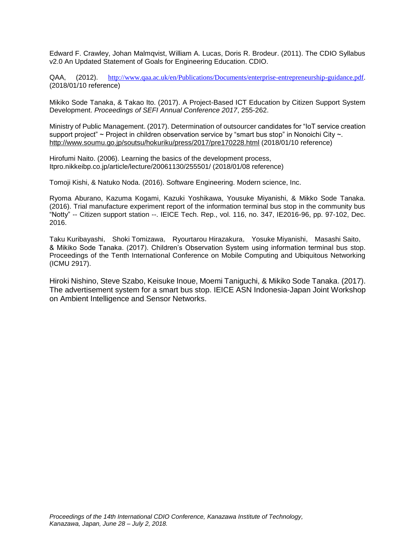Edward F. Crawley, Johan Malmqvist, William A. Lucas, Doris R. Brodeur. (2011). The CDIO Syllabus v2.0 An Updated Statement of Goals for Engineering Education. CDIO.

QAA, (2012). <http://www.qaa.ac.uk/en/Publications/Documents/enterprise-entrepreneurship-guidance.pdf>. (2018/01/10 reference)

Mikiko Sode Tanaka, & Takao Ito. (2017). A Project-Based ICT Education by Citizen Support System Development. *Proceedings of SEFI Annual Conference 2017*, 255-262.

Ministry of Public Management. (2017). Determination of outsourcer candidates for "IoT service creation support project" ~ Project in children observation service by "smart bus stop" in Nonoichi City ~. <http://www.soumu.go.jp/soutsu/hokuriku/press/2017/pre170228.html> (2018/01/10 reference)

Hirofumi Naito. (2006). Learning the basics of the development process, Itpro.nikkeibp.co.jp/article/lecture/20061130/255501/ (2018/01/08 reference)

Tomoji Kishi, & Natuko Noda. (2016). Software Engineering. Modern science, Inc.

Ryoma Aburano, Kazuma Kogami, Kazuki Yoshikawa, Yousuke Miyanishi, & Mikko Sode Tanaka. (2016). Trial manufacture experiment report of the information terminal bus stop in the community bus "Notty" -- Citizen support station --. IEICE Tech. Rep., vol. 116, no. 347, IE2016-96, pp. 97-102, Dec. 2016.

Taku Kuribayashi, Shoki Tomizawa, Ryourtarou Hirazakura, Yosuke Miyanishi, Masashi Saito, & Mikiko Sode Tanaka. (2017). Children's Observation System using information terminal bus stop. Proceedings of the Tenth International Conference on Mobile Computing and Ubiquitous Networking (ICMU 2917).

Hiroki Nishino, Steve Szabo, Keisuke Inoue, Moemi Taniguchi, & Mikiko Sode Tanaka. (2017). The advertisement system for a smart bus stop. IEICE ASN Indonesia-Japan Joint Workshop on Ambient Intelligence and Sensor Networks.